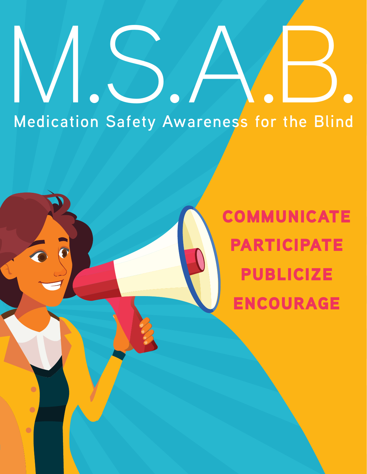# **Medication Safety Awareness for the Blind** M.S.A.B.

 $\bullet$ 

 $\bullet$ 

 $\bullet$ 

COMMUNICATE PARTICIPATE PUBLICIZE ENCOURAGE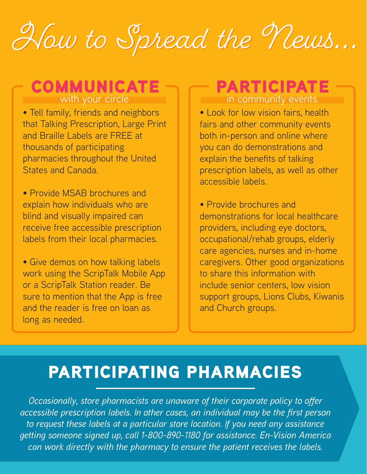## How to Spread the News...

## **COMMUNICATE PARTICIPATE**

• Tell family, friends and neighbors that Talking Prescription, Large Print and Braille Labels are FREE at thousands of participating pharmacies throughout the United States and Canada.

• Provide MSAB brochures and explain how individuals who are blind and visually impaired can receive free accessible prescription labels from their local pharmacies.

• Give demos on how talking labels work using the ScripTalk Mobile App or a ScripTalk Station reader. Be sure to mention that the App is free and the reader is free on loan as long as needed.

## in community events

• Look for low vision fairs, health fairs and other community events both in-person and online where you can do demonstrations and explain the benefits of talking prescription labels, as well as other accessible labels.

• Provide brochures and demonstrations for local healthcare providers, including eye doctors, occupational/rehab groups, elderly care agencies, nurses and in-home caregivers. Other good organizations to share this information with include senior centers, low vision support groups, Lions Clubs, Kiwanis and Church groups.

## PARTICIPATING PHARMACIES

*Occasionally, store pharmacists are unaware of their corporate policy to offer accessible prescription labels. In other cases, an individual may be the first person to request these labels at a particular store location. If you need any assistance getting someone signed up, call 1-800-890-1180 for assistance. En-Vision America can work directly with the pharmacy to ensure the patient receives the labels.*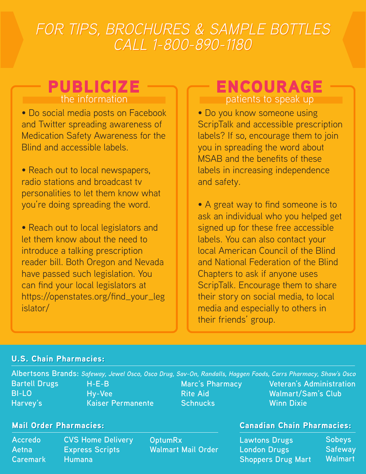## How to Spread the News... ow to Spread the News... *FOR TIPS, BROCHURES & SAMPLE BOTTLES FOR TIPS, BROCHURES & SAMPLE BOTTLES CALL 1-800-890-1180 CALL 1-800-890-1180*

• Do social media posts on Facebook and Twitter spreading awareness of Medication Safety Awareness for the Blind and accessible labels.

• Reach out to local newspapers, radio stations and broadcast tv personalities to let them know what you're doing spreading the word.

• Reach out to local legislators and let them know about the need to introduce a talking prescription reader bill. Both Oregon and Nevada have passed such legislation. You can find your local legislators at https://openstates.org/find\_your\_leg islator/

#### **PUBLICIZE ENCOURAGE** patients to speak up

• Do you know someone using ScripTalk and accessible prescription labels? If so, encourage them to join you in spreading the word about MSAB and the benefits of these labels in increasing independence and safety.

• A great way to find someone is to ask an individual who you helped get signed up for these free accessible labels. You can also contact your local American Council of the Blind and National Federation of the Blind Chapters to ask if anyone uses ScripTalk. Encourage them to share their story on social media, to local media and especially to others in their friends' group.

#### **U.S. Chain Pharmacies:**

**Albertsons Brands:** *Safeway, Jewel Osco, Osco Drug, Sav-On, Randalls, Haggen Foods, Carrs Pharmacy, Shaw's Osco* **Marc's Pharmacy Rite Aid Schnucks Bartell Drugs BI-LO Harvey's H-E-B Hy-Vee Kaiser Permanente Veteran's Administration Walmart/Sam's Club Winn Dixie**

**Accredo Aetna Caremark**

**CVS Home Delivery Express Scripts Humana**

**OptumRx Walmart Mail Order**

#### Mail Order Pharmacies: **Ail Order Pharmacies:** Canadian Chain Pharmacies:

**Lawtons Drugs London Drugs Shoppers Drug Mart Sobeys Safeway Walmart**